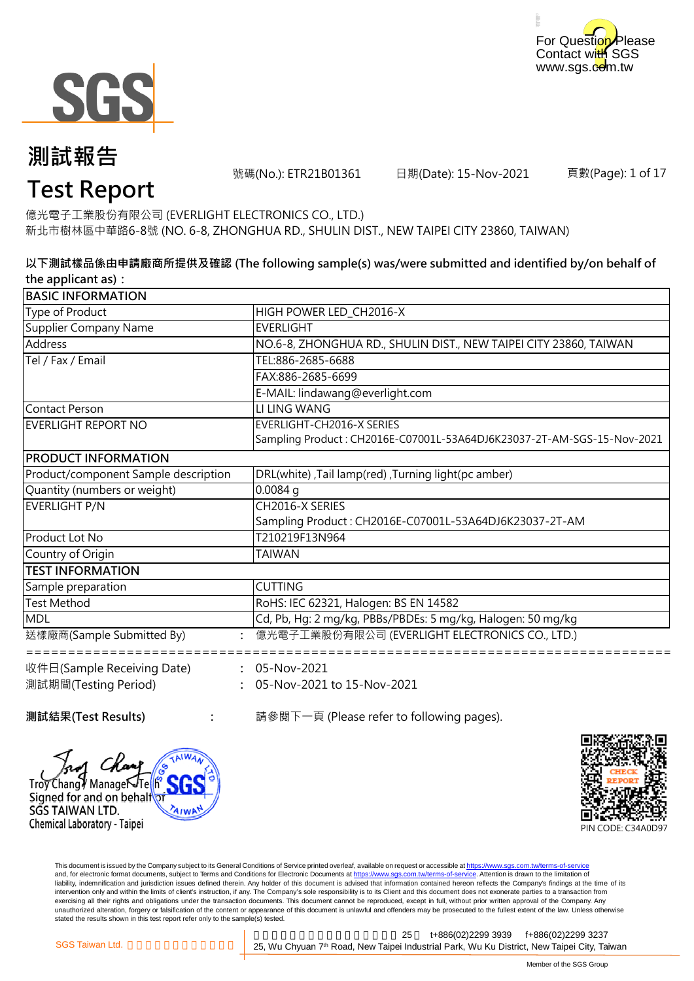



號碼(No.): ETR21B01361 日期(Date): 15-Nov-2021

頁數(Page): 1 of 17

# **Test Report**

新北市樹林區中華路6-8號 (NO. 6-8, ZHONGHUA RD., SHULIN DIST., NEW TAIPEI CITY 23860, TAIWAN) 億光電子工業股份有限公司 (EVERLIGHT ELECTRONICS CO., LTD.)

### **以下測試樣品係由申請廠商所提供及確認 (The following sample(s) was/were submitted and identified by/on behalf of the applicant as):**

| <b>BASIC INFORMATION</b>             |                                                                        |
|--------------------------------------|------------------------------------------------------------------------|
| Type of Product                      | HIGH POWER LED_CH2016-X                                                |
| Supplier Company Name                | <b>EVERLIGHT</b>                                                       |
| Address                              | NO.6-8, ZHONGHUA RD., SHULIN DIST., NEW TAIPEI CITY 23860, TAIWAN      |
| Tel / Fax / Email                    | TEL:886-2685-6688                                                      |
|                                      | FAX:886-2685-6699                                                      |
|                                      | E-MAIL: lindawang@everlight.com                                        |
| <b>Contact Person</b>                | LI LING WANG                                                           |
| EVERLIGHT REPORT NO                  | EVERLIGHT-CH2016-X SERIES                                              |
|                                      | Sampling Product: CH2016E-C07001L-53A64DJ6K23037-2T-AM-SGS-15-Nov-2021 |
| <b>IPRODUCT INFORMATION</b>          |                                                                        |
| Product/component Sample description | DRL(white), Tail lamp(red), Turning light(pc amber)                    |
| Quantity (numbers or weight)         | $0.0084$ q                                                             |
| <b>EVERLIGHT P/N</b>                 | CH2016-X SERIES                                                        |
|                                      | Sampling Product: CH2016E-C07001L-53A64DJ6K23037-2T-AM                 |
| Product Lot No                       | T210219F13N964                                                         |
| Country of Origin                    | <b>TAIWAN</b>                                                          |
| <b>TEST INFORMATION</b>              |                                                                        |
| Sample preparation                   | <b>CUTTING</b>                                                         |
| <b>Test Method</b>                   | RoHS: IEC 62321, Halogen: BS EN 14582                                  |
| <b>MDL</b>                           | Cd, Pb, Hg: 2 mg/kg, PBBs/PBDEs: 5 mg/kg, Halogen: 50 mg/kg            |
| 送樣廠商(Sample Submitted By)            | 億光電子工業股份有限公司 (EVERLIGHT ELECTRONICS CO., LTD.)                         |
| 收件日(Sample Receiving Date)           | $: 05-Nov-2021$                                                        |
| 測試期間(Testing Period)                 | 05-Nov-2021 to 15-Nov-2021                                             |

SGS TAIWAN LTD.

Chemical Laboratory - Taipei

∕Chang∛ ManageÑTe Signed for and on behalf

**AIW** 

**:**

**測試結果(Test Results)** : <br>
a 請參閱下一頁 (Please refer to following pages).



This document is issued by the Company subject to its General Conditions of Service printed overleaf, available on request or accessible at <u>https://www.sgs.com.tw/terms-of-service</u><br>and, for electronic format documents, su liability, indemnification and jurisdiction issues defined therein. Any holder of this document is advised that information contained hereon reflects the Company's findings at the time of its intervention only and within the limits of client's instruction, if any. The Company's sole responsibility is to its Client and this document does not exonerate parties to a transaction from exercising all their rights and obligations under the transaction documents. This document cannot be reproduced, except in full, without prior written approval of the Company. Any<br>unauthorized alteration, forgery or falsif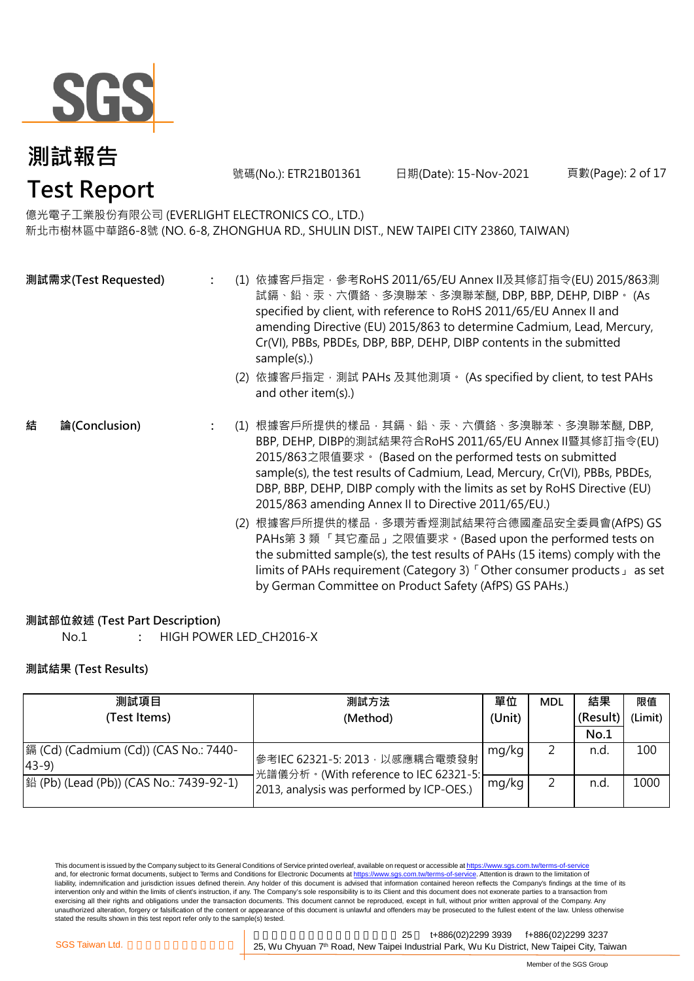

號碼(No.): ETR21B01361 日期(Date): 15-Nov-2021

頁數(Page): 2 of 17

億光電子工業股份有限公司 (EVERLIGHT ELECTRONICS CO., LTD.)

新北市樹林區中華路6-8號 (NO. 6-8, ZHONGHUA RD., SHULIN DIST., NEW TAIPEI CITY 23860, TAIWAN)

|   | 測試需求(Test Requested) |     | (1) 依據客戶指定,參考RoHS 2011/65/EU Annex II及其修訂指令(EU) 2015/863測<br>試鎘、鉛、汞、六價鉻、多溴聯苯、多溴聯苯醚, DBP, BBP, DEHP, DIBP。 (As<br>specified by client, with reference to RoHS 2011/65/EU Annex II and<br>amending Directive (EU) 2015/863 to determine Cadmium, Lead, Mercury,<br>Cr(VI), PBBs, PBDEs, DBP, BBP, DEHP, DIBP contents in the submitted<br>sample(s).)<br>(2) 依據客戶指定, 測試 PAHs 及其他測項。 (As specified by client, to test PAHs<br>and other item(s).) |
|---|----------------------|-----|------------------------------------------------------------------------------------------------------------------------------------------------------------------------------------------------------------------------------------------------------------------------------------------------------------------------------------------------------------------------------------------------------------------------------------------------|
| 結 | 論(Conclusion)        | (1) | 根據客戶所提供的樣品‧其鎘、鉛、汞、六價鉻、多溴聯苯、多溴聯苯醚, DBP,<br>BBP, DEHP, DIBP的測試結果符合RoHS 2011/65/EU Annex II暨其修訂指令(EU)<br>2015/863之限值要求。 (Based on the performed tests on submitted<br>sample(s), the test results of Cadmium, Lead, Mercury, Cr(VI), PBBs, PBDEs,<br>DBP, BBP, DEHP, DIBP comply with the limits as set by RoHS Directive (EU)<br>2015/863 amending Annex II to Directive 2011/65/EU.)                                                            |
|   |                      |     | (2) 根據客戶所提供的樣品 · 多環芳香烴測試結果符合德國產品安全委員會(AfPS) GS<br>PAHs第3類「其它產品」之限值要求。(Based upon the performed tests on<br>the submitted sample(s), the test results of PAHs (15 items) comply with the<br>limits of PAHs requirement (Category 3) <sup>F</sup> Other consumer products as set                                                                                                                                                                 |

### **測試部位敘述 (Test Part Description)**

No.1 **:** HIGH POWER LED\_CH2016-X

### **測試結果 (Test Results)**

| 測試項目                                              | 測試方法                                                                    | 單位    | <b>MDL</b> | 結果       | 限值      |
|---------------------------------------------------|-------------------------------------------------------------------------|-------|------------|----------|---------|
| (Test Items)                                      | (Method)                                                                |       |            | (Result) | (Limit) |
|                                                   |                                                                         |       |            | No.1     |         |
| 鎘 (Cd) (Cadmium (Cd)) (CAS No.: 7440-<br>$(43-9)$ | 參考IEC 62321-5: 2013, 以感應耦合電漿發射<br>光譜儀分析。(With reference to IEC 62321-5: | mg/kg |            | n.d      | 100     |
| 鉛 (Pb) (Lead (Pb)) (CAS No.: 7439-92-1)           | 2013, analysis was performed by ICP-OES.)                               | mg/kg |            | n.d      | 1000    |

This document is issued by the Company subject to its General Conditions of Service printed overleaf, available on request or accessible at <u>https://www.sgs.com.tw/terms-of-service</u><br>and, for electronic format documents, su liability, indemnification and jurisdiction issues defined therein. Any holder of this document is advised that information contained hereon reflects the Company's findings at the time of its intervention only and within the limits of client's instruction, if any. The Company's sole responsibility is to its Client and this document does not exonerate parties to a transaction from exercising all their rights and obligations under the transaction documents. This document cannot be reproduced, except in full, without prior written approval of the Company. Any<br>unauthorized alteration, forgery or falsif

新北市五股區新北產業園區五權七 25 t+886(02)2299 3939 f+886(02)2299 3237 SGS Taiwan Ltd. **Exercise 25, Wu Chyuan 7<sup>th</sup> Road, New Taipei Industrial Park, Wu Ku District, New Taipei City, Taiwan** 

by German Committee on Product Safety (AfPS) GS PAHs.)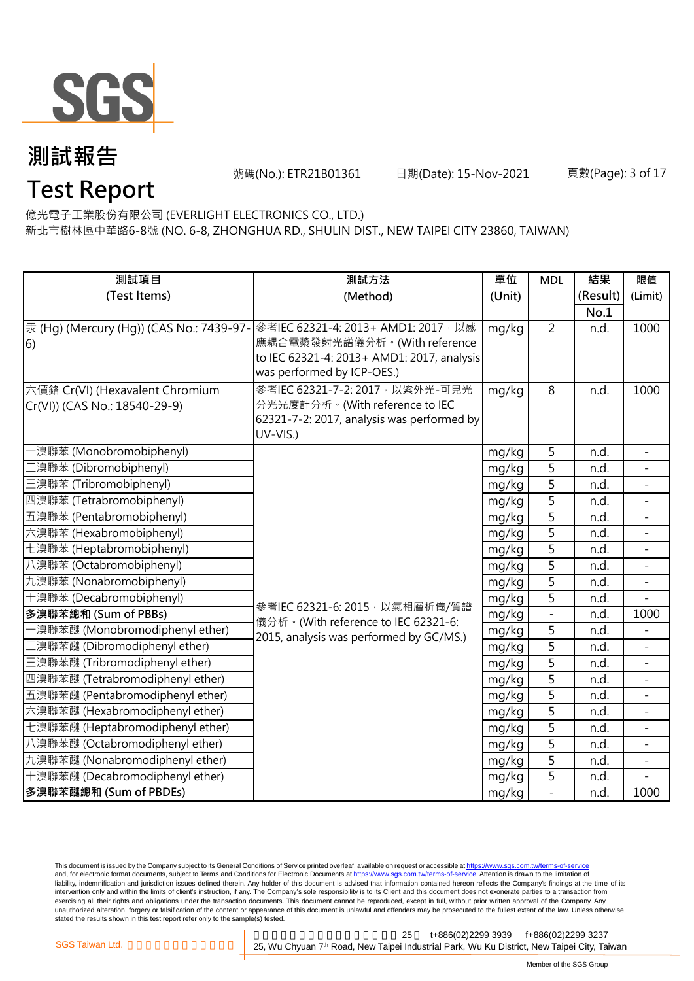

號碼(No.): ETR21B01361 日期(Date): 15-Nov-2021

# **Test Report**

新北市樹林區中華路6-8號 (NO. 6-8, ZHONGHUA RD., SHULIN DIST., NEW TAIPEI CITY 23860, TAIWAN) 億光電子工業股份有限公司 (EVERLIGHT ELECTRONICS CO., LTD.)

| 測試項目                                     | 測試方法                                       | 單位     | <b>MDL</b>               | 結果       | 限值                       |
|------------------------------------------|--------------------------------------------|--------|--------------------------|----------|--------------------------|
| (Test Items)                             | (Method)                                   | (Unit) |                          | (Result) | (Limit)                  |
|                                          |                                            |        |                          | No.1     |                          |
| 汞 (Hg) (Mercury (Hg)) (CAS No.: 7439-97- | 參考IEC 62321-4: 2013+ AMD1: 2017, 以感        | mg/kg  | $\overline{2}$           | n.d.     | 1000                     |
| 6)                                       | 應耦合電漿發射光譜儀分析。(With reference               |        |                          |          |                          |
|                                          | to IEC 62321-4: 2013+ AMD1: 2017, analysis |        |                          |          |                          |
|                                          | was performed by ICP-OES.)                 |        |                          |          |                          |
| 六價鉻 Cr(VI) (Hexavalent Chromium          | 參考IEC 62321-7-2: 2017 · 以紫外光-可見光           | mg/kg  | 8                        | n.d.     | 1000                     |
| Cr(VI)) (CAS No.: 18540-29-9)            | 分光光度計分析。(With reference to IEC             |        |                          |          |                          |
|                                          | 62321-7-2: 2017, analysis was performed by |        |                          |          |                          |
|                                          | UV-VIS.)                                   |        |                          |          |                          |
| -溴聯苯 (Monobromobiphenyl)                 |                                            | mg/kg  | 5                        | n.d.     | $\equiv$                 |
| [溴聯苯 (Dibromobiphenyl)                   |                                            | mg/kg  | 5                        | n.d.     |                          |
| 三溴聯苯 (Tribromobiphenyl)                  |                                            | mg/kg  | 5                        | n.d.     |                          |
| 四溴聯苯 (Tetrabromobiphenyl)                |                                            | mg/kg  | 5                        | n.d.     | $\equiv$                 |
| 五溴聯苯 (Pentabromobiphenyl)                |                                            | mg/kg  | $\overline{5}$           | n.d.     |                          |
| 六溴聯苯 (Hexabromobiphenyl)                 |                                            | mg/kg  | $\overline{5}$           | n.d.     |                          |
| 七溴聯苯 (Heptabromobiphenyl)                |                                            | mg/kg  | 5                        | n.d.     |                          |
| 八溴聯苯 (Octabromobiphenyl)                 |                                            | mg/kg  | $\overline{5}$           | n.d.     | $\overline{\phantom{a}}$ |
| 九溴聯苯 (Nonabromobiphenyl)                 |                                            | mg/kg  | $\overline{5}$           | n.d.     |                          |
| 十溴聯苯 (Decabromobiphenyl)                 | 參考IEC 62321-6: 2015, 以氣相層析儀/質譜             | mg/kg  | $\overline{5}$           | n.d.     |                          |
| 多溴聯苯總和 (Sum of PBBs)                     | 儀分析。(With reference to IEC 62321-6:        | mg/kg  | $\overline{\phantom{a}}$ | n.d.     | 1000                     |
| ·溴聯苯醚 (Monobromodiphenyl ether)          | 2015, analysis was performed by GC/MS.)    | mg/kg  | $\overline{5}$           | n.d.     |                          |
| 二溴聯苯醚 (Dibromodiphenyl ether)            |                                            | mg/kg  | 5                        | n.d.     |                          |
| 三溴聯苯醚 (Tribromodiphenyl ether)           |                                            | mg/kg  | 5                        | n.d.     |                          |
| 四溴聯苯醚 (Tetrabromodiphenyl ether)         |                                            | mg/kg  | $\overline{5}$           | n.d.     | $\blacksquare$           |
| 五溴聯苯醚 (Pentabromodiphenyl ether)         |                                            | mg/kg  | $\overline{5}$           | n.d.     |                          |
| 六溴聯苯醚 (Hexabromodiphenyl ether)          |                                            | mg/kg  | $\overline{5}$           | n.d.     |                          |
| 七溴聯苯醚 (Heptabromodiphenyl ether)         |                                            | mg/kg  | $\overline{5}$           | n.d.     | $\equiv$                 |
| 八溴聯苯醚 (Octabromodiphenyl ether)          |                                            | mg/kg  | 5                        | n.d.     |                          |
| 九溴聯苯醚 (Nonabromodiphenyl ether)          |                                            | mg/kg  | 5                        | n.d.     |                          |
| 十溴聯苯醚 (Decabromodiphenyl ether)          |                                            | mg/kg  | 5                        | n.d.     |                          |
| 多溴聯苯醚總和 (Sum of PBDEs)                   |                                            | mg/kg  |                          | n.d.     | 1000                     |

This document is issued by the Company subject to its General Conditions of Service printed overleaf, available on request or accessible at <u>https://www.sgs.com.tw/terms-of-service</u><br>and, for electronic format documents, su liability, indemnification and jurisdiction issues defined therein. Any holder of this document is advised that information contained hereon reflects the Company's findings at the time of its intervention only and within the limits of client's instruction, if any. The Company's sole responsibility is to its Client and this document does not exonerate parties to a transaction from exercising all their rights and obligations under the transaction documents. This document cannot be reproduced, except in full, without prior written approval of the Company. Any<br>unauthorized alteration, forgery or falsif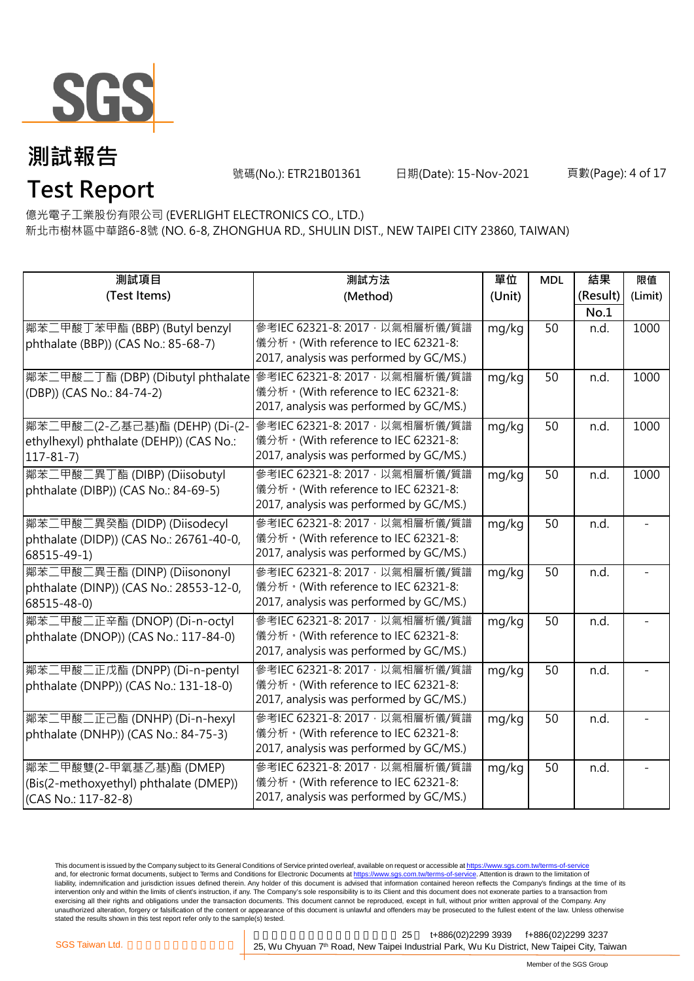

號碼(No.): ETR21B01361 日期(Date): 15-Nov-2021

# **Test Report**

新北市樹林區中華路6-8號 (NO. 6-8, ZHONGHUA RD., SHULIN DIST., NEW TAIPEI CITY 23860, TAIWAN) 億光電子工業股份有限公司 (EVERLIGHT ELECTRONICS CO., LTD.)

| 測試項目<br>(Test Items)                                                                            | 測試方法<br>(Method)                                                                                                  | 單位<br>(Unit) | <b>MDL</b> | 結果<br>(Result)<br>No.1 | 限值<br>(Limit) |
|-------------------------------------------------------------------------------------------------|-------------------------------------------------------------------------------------------------------------------|--------------|------------|------------------------|---------------|
| 鄰苯二甲酸丁苯甲酯 (BBP) (Butyl benzyl<br>phthalate (BBP)) (CAS No.: 85-68-7)                            | 參考IEC 62321-8: 2017, 以氣相層析儀/質譜<br>儀分析。(With reference to IEC 62321-8:<br>2017, analysis was performed by GC/MS.)  | mg/kg        | 50         | n.d.                   | 1000          |
| 鄰苯二甲酸二丁酯 (DBP) (Dibutyl phthalate   參考IEC 62321-8: 2017, 以氣相層析儀/質譜<br>(DBP)) (CAS No.: 84-74-2) | 儀分析。(With reference to IEC 62321-8:<br>2017, analysis was performed by GC/MS.)                                    | mg/kg        | 50         | n.d.                   | 1000          |
| 鄰苯二甲酸二(2-乙基己基)酯 (DEHP) (Di-(2-<br>ethylhexyl) phthalate (DEHP)) (CAS No.:<br>$117 - 81 - 7$     | 參考IEC 62321-8: 2017 · 以氣相層析儀/質譜<br>儀分析。(With reference to IEC 62321-8:<br>2017, analysis was performed by GC/MS.) | mg/kg        | 50         | n.d.                   | 1000          |
| 鄰苯二甲酸二異丁酯 (DIBP) (Diisobutyl<br>phthalate (DIBP)) (CAS No.: 84-69-5)                            | 參考IEC 62321-8: 2017, 以氣相層析儀/質譜<br>儀分析。(With reference to IEC 62321-8:<br>2017, analysis was performed by GC/MS.)  | mg/kg        | 50         | n.d.                   | 1000          |
| 鄰苯二甲酸二異癸酯 (DIDP) (Diisodecyl<br>phthalate (DIDP)) (CAS No.: 26761-40-0,<br>68515-49-1)          | 參考IEC 62321-8: 2017, 以氣相層析儀/質譜<br>儀分析。(With reference to IEC 62321-8:<br>2017, analysis was performed by GC/MS.)  | mg/kg        | 50         | n.d.                   |               |
| 鄰苯二甲酸二異壬酯 (DINP) (Diisononyl<br>phthalate (DINP)) (CAS No.: 28553-12-0,<br>68515-48-0)          | 參考IEC 62321-8: 2017 · 以氣相層析儀/質譜<br>儀分析。(With reference to IEC 62321-8:<br>2017, analysis was performed by GC/MS.) | mg/kg        | 50         | n.d.                   |               |
| 鄰苯二甲酸二正辛酯 (DNOP) (Di-n-octyl<br>phthalate (DNOP)) (CAS No.: 117-84-0)                           | 參考IEC 62321-8: 2017, 以氣相層析儀/質譜<br>儀分析。(With reference to IEC 62321-8:<br>2017, analysis was performed by GC/MS.)  | mg/kg        | 50         | n.d.                   |               |
| 鄰苯二甲酸二正戊酯 (DNPP) (Di-n-pentyl<br>phthalate (DNPP)) (CAS No.: 131-18-0)                          | 參考IEC 62321-8: 2017, 以氣相層析儀/質譜<br>儀分析。(With reference to IEC 62321-8:<br>2017, analysis was performed by GC/MS.)  | mg/kg        | 50         | n.d.                   |               |
| 鄰苯二甲酸二正己酯 (DNHP) (Di-n-hexyl<br>phthalate (DNHP)) (CAS No.: 84-75-3)                            | 參考IEC 62321-8: 2017 · 以氣相層析儀/質譜<br>儀分析。(With reference to IEC 62321-8:<br>2017, analysis was performed by GC/MS.) | mg/kg        | 50         | n.d.                   |               |
| 鄰苯二甲酸雙(2-甲氧基乙基)酯 (DMEP)<br>(Bis(2-methoxyethyl) phthalate (DMEP))<br>(CAS No.: 117-82-8)        | 參考IEC 62321-8: 2017, 以氣相層析儀/質譜<br>儀分析。(With reference to IEC 62321-8:<br>2017, analysis was performed by GC/MS.)  | mg/kg        | 50         | n.d.                   |               |

This document is issued by the Company subject to its General Conditions of Service printed overleaf, available on request or accessible at <u>https://www.sgs.com.tw/terms-of-service</u><br>and, for electronic format documents, su liability, indemnification and jurisdiction issues defined therein. Any holder of this document is advised that information contained hereon reflects the Company's findings at the time of its intervention only and within the limits of client's instruction, if any. The Company's sole responsibility is to its Client and this document does not exonerate parties to a transaction from exercising all their rights and obligations under the transaction documents. This document cannot be reproduced, except in full, without prior written approval of the Company. Any<br>unauthorized alteration, forgery or falsif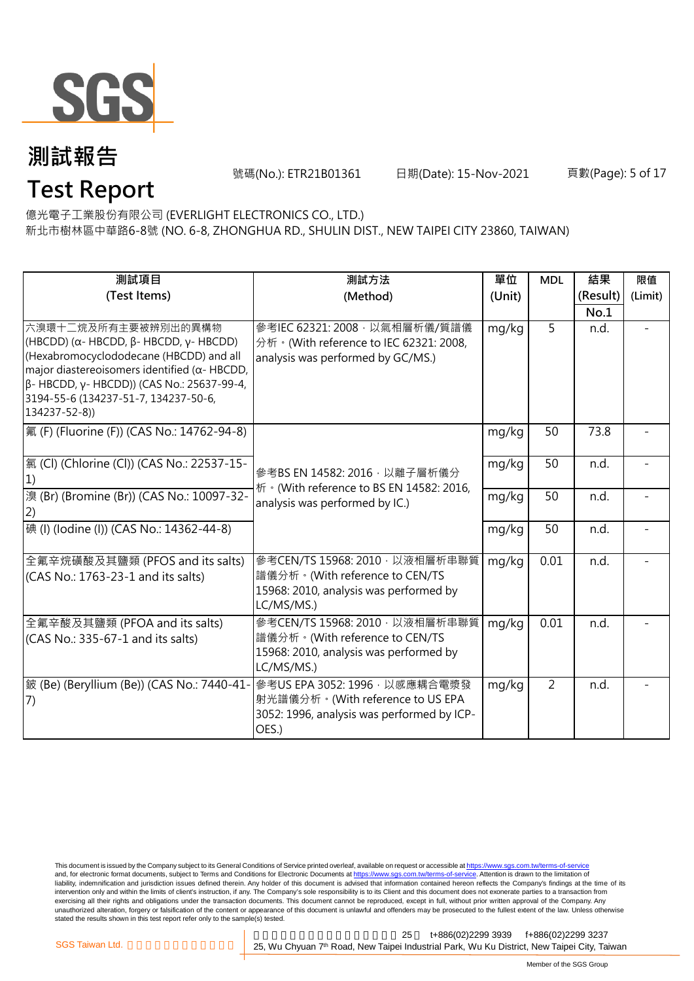

號碼(No.): ETR21B01361 日期(Date): 15-Nov-2021

# **Test Report**

新北市樹林區中華路6-8號 (NO. 6-8, ZHONGHUA RD., SHULIN DIST., NEW TAIPEI CITY 23860, TAIWAN) 億光電子工業股份有限公司 (EVERLIGHT ELECTRONICS CO., LTD.)

| 測試項目                                                                                                                                                                                                                                                                                             | 測試方法                                                                                                                     | 單位     | <b>MDL</b>     | 結果       | 限值      |
|--------------------------------------------------------------------------------------------------------------------------------------------------------------------------------------------------------------------------------------------------------------------------------------------------|--------------------------------------------------------------------------------------------------------------------------|--------|----------------|----------|---------|
| (Test Items)                                                                                                                                                                                                                                                                                     | (Method)                                                                                                                 | (Unit) |                | (Result) | (Limit) |
|                                                                                                                                                                                                                                                                                                  |                                                                                                                          |        |                | No.1     |         |
| 六溴環十二烷及所有主要被辨別出的異構物<br>(HBCDD) ( $\alpha$ - HBCDD, $\beta$ - HBCDD, $\gamma$ - HBCDD)<br>(Hexabromocyclododecane (HBCDD) and all<br>major diastereoisomers identified ( $\alpha$ - HBCDD,<br>β- HBCDD, γ- HBCDD)) (CAS No.: 25637-99-4,<br>3194-55-6 (134237-51-7, 134237-50-6,<br>134237-52-8)) | 參考IEC 62321: 2008, 以氣相層析儀/質譜儀<br>分析 · (With reference to IEC 62321: 2008,<br>analysis was performed by GC/MS.)           | mg/kg  | 5              | n.d.     |         |
| 氟 (F) (Fluorine (F)) (CAS No.: 14762-94-8)                                                                                                                                                                                                                                                       |                                                                                                                          | mg/kg  | 50             | 73.8     |         |
| [氯 (Cl) (Chlorine (Cl)) (CAS No.: 22537-15-<br>1)                                                                                                                                                                                                                                                | 參考BS EN 14582: 2016, 以離子層析儀分<br>析 · (With reference to BS EN 14582: 2016,                                                | mg/kg  | 50             | n.d.     |         |
| 溴 (Br) (Bromine (Br)) (CAS No.: 10097-32-                                                                                                                                                                                                                                                        | analysis was performed by IC.)                                                                                           | mg/kg  | 50             | n.d.     |         |
| 碘 (I) (lodine (I)) (CAS No.: 14362-44-8)                                                                                                                                                                                                                                                         |                                                                                                                          | mg/kg  | 50             | n.d.     |         |
| 全氟辛烷磺酸及其鹽類 (PFOS and its salts)<br>(CAS No.: 1763-23-1 and its salts)                                                                                                                                                                                                                            | 參考CEN/TS 15968: 2010, 以液相層析串聯質<br>譜儀分析。(With reference to CEN/TS<br>15968: 2010, analysis was performed by<br>LC/MS/MS.) | mg/kg  | 0.01           | n.d.     |         |
| 全氟辛酸及其鹽類 (PFOA and its salts)<br>(CAS No.: 335-67-1 and its salts)                                                                                                                                                                                                                               | 參考CEN/TS 15968: 2010, 以液相層析串聯質<br>譜儀分析。(With reference to CEN/TS<br>15968: 2010, analysis was performed by<br>LC/MS/MS.) | mg/kg  | 0.01           | n.d.     |         |
| 鈹 (Be) (Beryllium (Be)) (CAS No.: 7440-41-<br>(7)                                                                                                                                                                                                                                                | 參考US EPA 3052: 1996, 以感應耦合電漿發<br>射光譜儀分析。(With reference to US EPA<br>3052: 1996, analysis was performed by ICP-<br>OES.) | mg/kg  | $\overline{2}$ | n.d.     |         |

This document is issued by the Company subject to its General Conditions of Service printed overleaf, available on request or accessible at <u>https://www.sgs.com.tw/terms-of-service</u><br>and, for electronic format documents, su liability, indemnification and jurisdiction issues defined therein. Any holder of this document is advised that information contained hereon reflects the Company's findings at the time of its intervention only and within the limits of client's instruction, if any. The Company's sole responsibility is to its Client and this document does not exonerate parties to a transaction from exercising all their rights and obligations under the transaction documents. This document cannot be reproduced, except in full, without prior written approval of the Company. Any<br>unauthorized alteration, forgery or falsif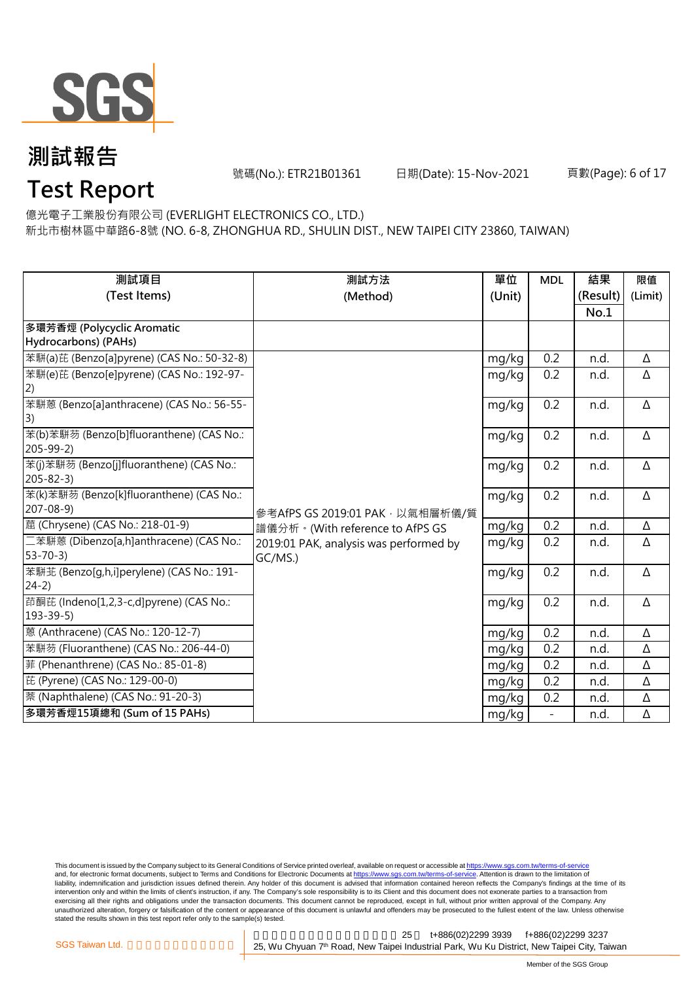

號碼(No.): ETR21B01361 日期(Date): 15-Nov-2021

頁數(Page): 6 of 17

# **Test Report**

億光電子工業股份有限公司 (EVERLIGHT ELECTRONICS CO., LTD.)

新北市樹林區中華路6-8號 (NO. 6-8, ZHONGHUA RD., SHULIN DIST., NEW TAIPEI CITY 23860, TAIWAN)

| 測試項目                                       | 測試方法                                   | 單位     | <b>MDL</b>               | 結果       | 限值       |
|--------------------------------------------|----------------------------------------|--------|--------------------------|----------|----------|
| (Test Items)                               | (Method)                               | (Unit) |                          | (Result) | (Limit)  |
|                                            |                                        |        |                          | No.1     |          |
| 多環芳香烴 (Polycyclic Aromatic                 |                                        |        |                          |          |          |
| Hydrocarbons) (PAHs)                       |                                        |        |                          |          |          |
| 苯駢(a)芘 (Benzo[a]pyrene) (CAS No.: 50-32-8) |                                        | mg/kg  | 0.2                      | n.d.     | Δ        |
| 苯駢(e)芘 (Benzo[e]pyrene) (CAS No.: 192-97-  |                                        | mg/kg  | 0.2                      | n.d.     | Δ        |
| 2)                                         |                                        |        |                          |          |          |
| 苯駢蒽 (Benzo[a]anthracene) (CAS No.: 56-55-  |                                        | mg/kg  | 0.2                      | n.d.     | Δ        |
| 3)                                         |                                        |        |                          |          |          |
| 苯(b)苯駢芴 (Benzo[b]fluoranthene) (CAS No.:   |                                        | mg/kg  | 0.2                      | n.d.     | Δ        |
| $205 - 99 - 2$                             |                                        |        |                          |          |          |
| 苯(j)苯駢芴 (Benzo[j]fluoranthene) (CAS No.:   |                                        | mg/kg  | 0.2                      | n.d.     | Δ        |
| $205 - 82 - 3$                             |                                        |        |                          |          |          |
| 苯(k)苯駢芴 (Benzo[k]fluoranthene) (CAS No.:   |                                        | mg/kg  | 0.2                      | n.d.     | Δ        |
| $207 - 08 - 9$                             | 參考AfPS GS 2019:01 PAK · 以氣相層析儀/質       |        |                          |          |          |
| 蔰 (Chrysene) (CAS No.: 218-01-9)           | 譜儀分析。(With reference to AfPS GS        | mg/kg  | 0.2                      | n.d.     | Δ        |
| 二苯駢蒽 (Dibenzo[a,h]anthracene) (CAS No.:    | 2019:01 PAK, analysis was performed by | mg/kg  | 0.2                      | n.d.     | Δ        |
| $53 - 70 - 3$                              | GC/MS.)                                |        |                          |          |          |
| 苯駢苝 (Benzo[g,h,i]perylene) (CAS No.: 191-  |                                        | mg/kg  | 0.2                      | n.d.     | $\Delta$ |
| $24-2)$                                    |                                        |        |                          |          |          |
| 茚酮芘 (Indeno[1,2,3-c,d]pyrene) (CAS No.:    |                                        | mg/kg  | 0.2                      | n.d.     | $\Delta$ |
| $193 - 39 - 5$                             |                                        |        |                          |          |          |
| 蒽 (Anthracene) (CAS No.: 120-12-7)         |                                        | mg/kg  | 0.2                      | n.d.     | Δ        |
| 苯駢芴 (Fluoranthene) (CAS No.: 206-44-0)     |                                        | mg/kg  | 0.2                      | n.d.     | Δ        |
| 菲 (Phenanthrene) (CAS No.: 85-01-8)        |                                        | mg/kg  | 0.2                      | n.d.     | Δ        |
| 芘 (Pyrene) (CAS No.: 129-00-0)             |                                        | mg/kg  | 0.2                      | n.d.     | Δ        |
| 萘 (Naphthalene) (CAS No.: 91-20-3)         |                                        | mg/kg  | 0.2                      | n.d.     | Δ        |
| 多環芳香烴15項總和 (Sum of 15 PAHs)                |                                        | mg/kg  | $\overline{\phantom{0}}$ | n.d.     | Δ        |

This document is issued by the Company subject to its General Conditions of Service printed overleaf, available on request or accessible at <u>https://www.sgs.com.tw/terms-of-service</u><br>and, for electronic format documents, su liability, indemnification and jurisdiction issues defined therein. Any holder of this document is advised that information contained hereon reflects the Company's findings at the time of its intervention only and within the limits of client's instruction, if any. The Company's sole responsibility is to its Client and this document does not exonerate parties to a transaction from exercising all their rights and obligations under the transaction documents. This document cannot be reproduced, except in full, without prior written approval of the Company. Any<br>unauthorized alteration, forgery or falsif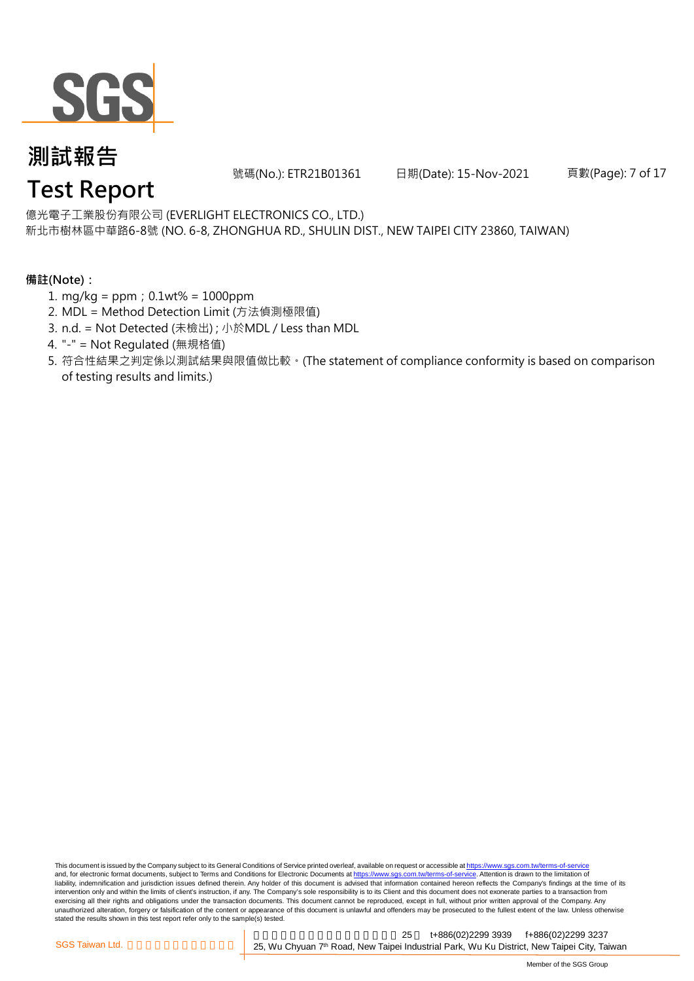

號碼(No.): ETR21B01361 日期(Date): 15-Nov-2021

頁數(Page): 7 of 17

億光電子工業股份有限公司 (EVERLIGHT ELECTRONICS CO., LTD.)

新北市樹林區中華路6-8號 (NO. 6-8, ZHONGHUA RD., SHULIN DIST., NEW TAIPEI CITY 23860, TAIWAN)

### **備註(Note):**

- 1. mg/kg = ppm;0.1wt% = 1000ppm
- 2. MDL = Method Detection Limit (方法偵測極限值)
- 3. n.d. = Not Detected (未檢出) ; 小於MDL / Less than MDL
- 4. "-" = Not Regulated (無規格值)
- 5. 符合性結果之判定係以測試結果與限值做比較。(The statement of compliance conformity is based on comparison of testing results and limits.)

This document is issued by the Company subject to its General Conditions of Service printed overleaf, available on request or accessible at https://www.sgs.com.tw/terms-of-service and, for electronic format documents, subject to Terms and Conditions for Electronic Documents at https://www.sgs.com.tw/terms-of-service. Attention is drawn to the limitation of liability, indemnification and jurisdiction issues defined therein. Any holder of this document is advised that information contained hereon reflects the Company's findings at the time of its intervention only and within the limits of client's instruction, if any. The Company's sole responsibility is to its Client and this document does not exonerate parties to a transaction from exercising all their rights and obligations under the transaction documents. This document cannot be reproduced, except in full, without prior written approval of the Company. Any<br>unauthorized alteration, forgery or falsif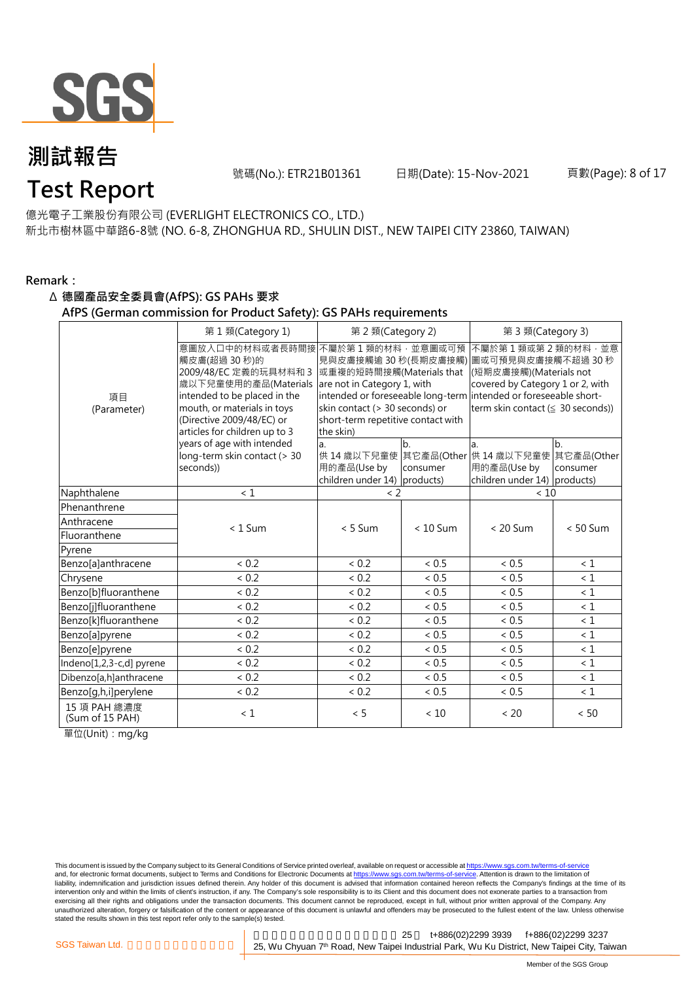

號碼(No.): ETR21B01361 日期(Date): 15-Nov-2021

頁數(Page): 8 of 17

#### 億光電子工業股份有限公司 (EVERLIGHT ELECTRONICS CO., LTD.)

新北市樹林區中華路6-8號 (NO. 6-8, ZHONGHUA RD., SHULIN DIST., NEW TAIPEI CITY 23860, TAIWAN)

#### **Remark:**

#### Δ **德國產品安全委員會(AfPS): GS PAHs 要求**

#### **AfPS (German commission for Product Safety): GS PAHs requirements**

|                                 | 第1類(Category 1)                                                                                                                                                                                               | 第 2 類(Category 2)                                                                                                                                                                        |                | 第 3 類(Category 3)                                                                                                                                                                                                   |                |  |
|---------------------------------|---------------------------------------------------------------------------------------------------------------------------------------------------------------------------------------------------------------|------------------------------------------------------------------------------------------------------------------------------------------------------------------------------------------|----------------|---------------------------------------------------------------------------------------------------------------------------------------------------------------------------------------------------------------------|----------------|--|
| 項目<br>(Parameter)               | 意圖放入口中的材料或者長時間接<br>觸皮膚(超過 30秒)的<br>2009/48/EC 定義的玩具材料和 3<br>歲以下兒童使用的產品(Materials<br>intended to be placed in the<br>mouth, or materials in toys<br>(Directive 2009/48/EC) or<br>articles for children up to 3 | 不屬於第1類的材料,並意圖或可預<br>見與皮膚接觸逾 30 秒(長期皮膚接觸)<br>或重複的短時間接觸(Materials that<br>are not in Category 1, with<br>skin contact (> 30 seconds) or<br>short-term repetitive contact with<br>the skin) |                | 不屬於第1類或第2類的材料,並意<br>圖或可預見與皮膚接觸不超過 30 秒<br>(短期皮膚接觸)(Materials not<br>covered by Category 1 or 2, with<br>intended or foreseeable long-term intended or foreseeable short-<br>term skin contact $( \leq 30$ seconds)) |                |  |
|                                 | years of age with intended<br>long-term skin contact (> 30<br>seconds))                                                                                                                                       | a.<br>用的產品(Use by<br>children under $14$ ) products)                                                                                                                                     | b.<br>consumer | a.<br>供 14 歳以下兒童使 其它產品(Other 供 14 歳以下兒童使 其它產品(Other<br>用的產品(Use by<br>children under 14) products)                                                                                                                  | b.<br>consumer |  |
| Naphthalene                     | < 1                                                                                                                                                                                                           | $\leq$ 2                                                                                                                                                                                 |                | < 10                                                                                                                                                                                                                |                |  |
| Phenanthrene                    |                                                                                                                                                                                                               |                                                                                                                                                                                          |                |                                                                                                                                                                                                                     |                |  |
| Anthracene                      | $< 1$ Sum                                                                                                                                                                                                     | $< 5$ Sum                                                                                                                                                                                | $< 10$ Sum     | $< 20$ Sum                                                                                                                                                                                                          | $< 50$ Sum     |  |
| Fluoranthene                    |                                                                                                                                                                                                               |                                                                                                                                                                                          |                |                                                                                                                                                                                                                     |                |  |
| Pyrene                          |                                                                                                                                                                                                               |                                                                                                                                                                                          |                |                                                                                                                                                                                                                     |                |  |
| Benzo[a]anthracene              | < 0.2                                                                                                                                                                                                         | < 0.2                                                                                                                                                                                    | < 0.5          | < 0.5                                                                                                                                                                                                               | $\leq 1$       |  |
| Chrysene                        | < 0.2                                                                                                                                                                                                         | < 0.2                                                                                                                                                                                    | < 0.5          | ${}< 0.5$                                                                                                                                                                                                           | < 1            |  |
| Benzo[b]fluoranthene            | ${}< 0.2$                                                                                                                                                                                                     | < 0.2                                                                                                                                                                                    | < 0.5          | < 0.5                                                                                                                                                                                                               | $\leq 1$       |  |
| Benzo[j]fluoranthene            | < 0.2                                                                                                                                                                                                         | ${}< 0.2$                                                                                                                                                                                | < 0.5          | ${}< 0.5$                                                                                                                                                                                                           | $\leq 1$       |  |
| Benzo[k]fluoranthene            | < 0.2                                                                                                                                                                                                         | < 0.2                                                                                                                                                                                    | < 0.5          | < 0.5                                                                                                                                                                                                               | $\leq 1$       |  |
| Benzo[a]pyrene                  | < 0.2                                                                                                                                                                                                         | < 0.2                                                                                                                                                                                    | ~< 0.5         | ~< 0.5                                                                                                                                                                                                              | $\leq 1$       |  |
| Benzo[e]pyrene                  | < 0.2                                                                                                                                                                                                         | < 0.2                                                                                                                                                                                    | < 0.5          | < 0.5                                                                                                                                                                                                               | $\leq 1$       |  |
| Indeno[1,2,3-c,d] pyrene        | < 0.2                                                                                                                                                                                                         | < 0.2                                                                                                                                                                                    | < 0.5          | < 0.5                                                                                                                                                                                                               | $\leq 1$       |  |
| Dibenzo[a,h]anthracene          | < 0.2                                                                                                                                                                                                         | < 0.2                                                                                                                                                                                    | < 0.5          | ~< 0.5                                                                                                                                                                                                              | $\leq 1$       |  |
| Benzo[g,h,i]perylene            | < 0.2                                                                                                                                                                                                         | < 0.2                                                                                                                                                                                    | ${}< 0.5$      | ${}< 0.5$                                                                                                                                                                                                           | $\leq 1$       |  |
| 15 項 PAH 總濃度<br>(Sum of 15 PAH) | < 1                                                                                                                                                                                                           | < 5                                                                                                                                                                                      | < 10           | < 20                                                                                                                                                                                                                | < 50           |  |

單位(Unit):mg/kg

This document is issued by the Company subject to its General Conditions of Service printed overleaf, available on request or accessible at <u>https://www.sgs.com.tw/terms-of-service</u><br>and, for electronic format documents, su liability, indemnification and jurisdiction issues defined therein. Any holder of this document is advised that information contained hereon reflects the Company's findings at the time of its intervention only and within the limits of client's instruction, if any. The Company's sole responsibility is to its Client and this document does not exonerate parties to a transaction from exercising all their rights and obligations under the transaction documents. This document cannot be reproduced, except in full, without prior written approval of the Company. Any<br>unauthorized alteration, forgery or falsif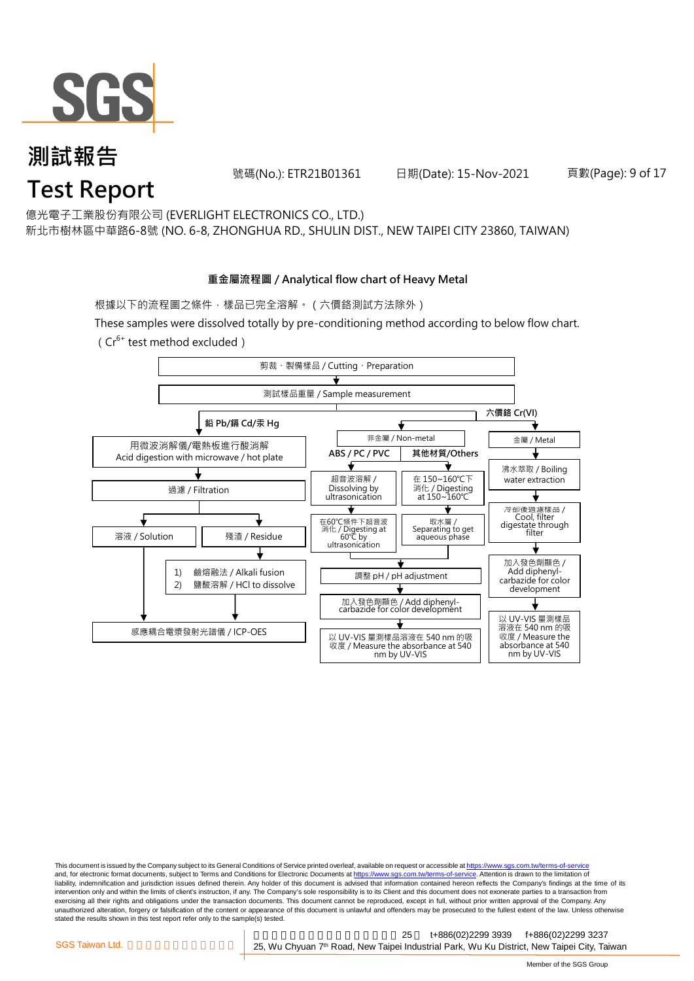

號碼(No.): ETR21B01361 日期(Date): 15-Nov-2021

億光電子工業股份有限公司 (EVERLIGHT ELECTRONICS CO., LTD.)

新北市樹林區中華路6-8號 (NO. 6-8, ZHONGHUA RD., SHULIN DIST., NEW TAIPEI CITY 23860, TAIWAN)

### **重金屬流程圖 / Analytical flow chart of Heavy Metal**

根據以下的流程圖之條件,樣品已完全溶解。 (六價鉻測試方法除外)

These samples were dissolved totally by pre-conditioning method according to below flow chart. ( $Cr^{6+}$  test method excluded)



This document is issued by the Company subject to its General Conditions of Service printed overleaf, available on request or accessible at https://www.sgs.com.tw/terms-of-service and, for electronic format documents, subject to Terms and Conditions for Electronic Documents at https://www.sgs.com.tw/terms-of-service. Attention is drawn to the limitation of liability, indemnification and jurisdiction issues defined therein. Any holder of this document is advised that information contained hereon reflects the Company's findings at the time of its intervention only and within the limits of client's instruction, if any. The Company's sole responsibility is to its Client and this document does not exonerate parties to a transaction from exercising all their rights and obligations under the transaction documents. This document cannot be reproduced, except in full, without prior written approval of the Company. Any<br>unauthorized alteration, forgery or falsif stated the results shown in this test report refer only to the sample(s) tested.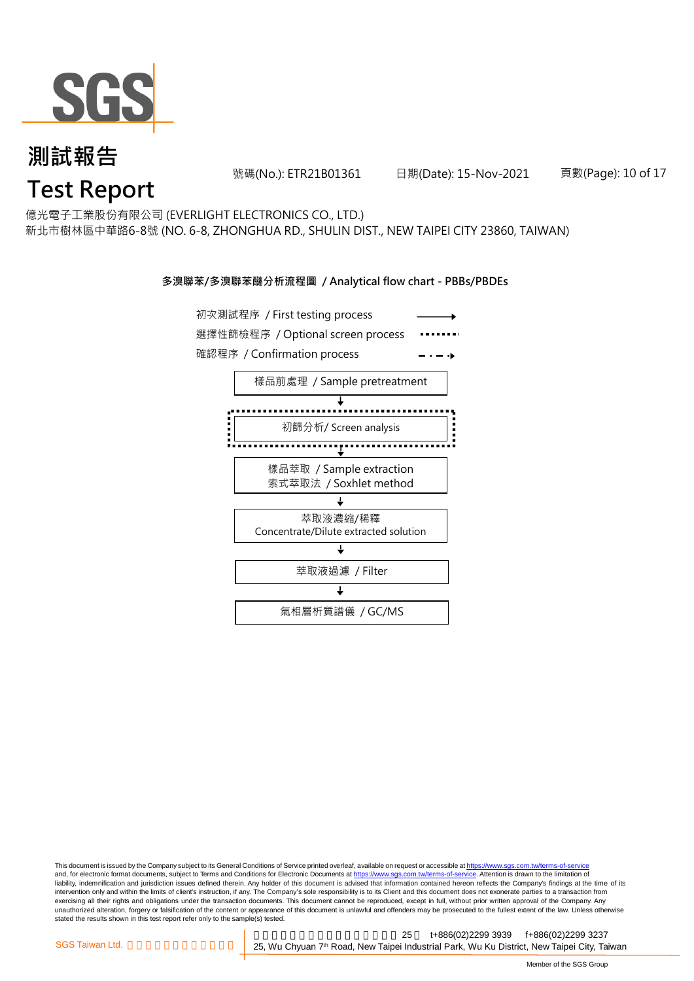

號碼(No.): ETR21B01361 日期(Date): 15-Nov-2021

頁數(Page): 10 of 17

億光電子工業股份有限公司 (EVERLIGHT ELECTRONICS CO., LTD.)

新北市樹林區中華路6-8號 (NO. 6-8, ZHONGHUA RD., SHULIN DIST., NEW TAIPEI CITY 23860, TAIWAN)

#### **多溴聯苯/多溴聯苯醚分析流程圖 / Analytical flow chart - PBBs/PBDEs**



This document is issued by the Company subject to its General Conditions of Service printed overleaf, available on request or accessible at https://www.sgs.com.tw/terms-of-service and, for electronic format documents, subject to Terms and Conditions for Electronic Documents at https://www.sgs.com.tw/terms-of-service. Attention is drawn to the limitation of liability, indemnification and jurisdiction issues defined therein. Any holder of this document is advised that information contained hereon reflects the Company's findings at the time of its intervention only and within the limits of client's instruction, if any. The Company's sole responsibility is to its Client and this document does not exonerate parties to a transaction from exercising all their rights and obligations under the transaction documents. This document cannot be reproduced, except in full, without prior written approval of the Company. Any<br>unauthorized alteration, forgery or falsif stated the results shown in this test report refer only to the sample(s) tested.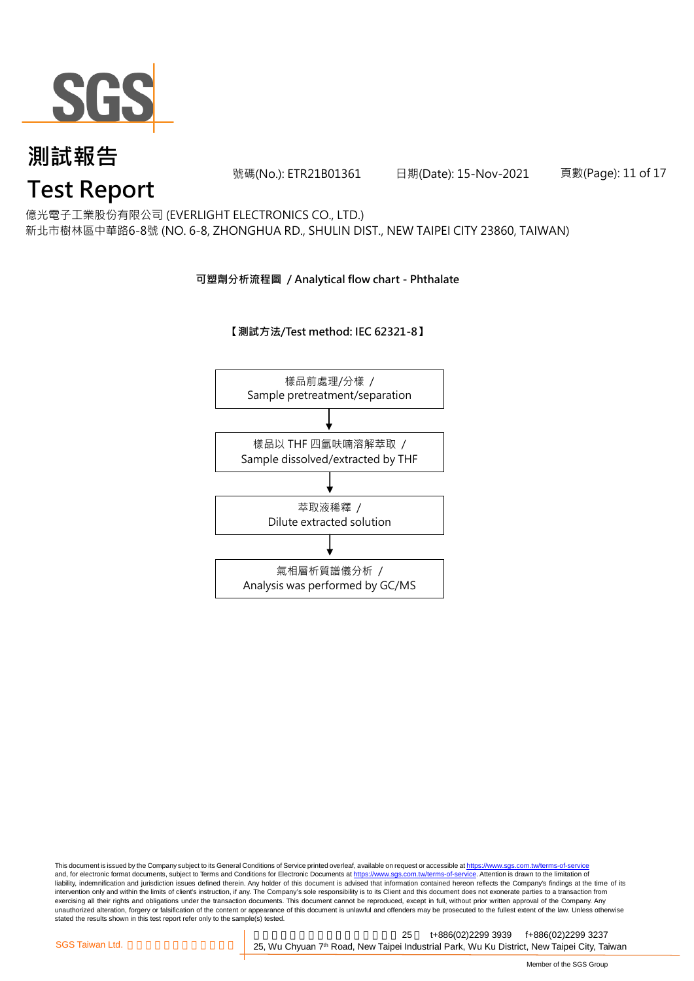

號碼(No.): ETR21B01361 日期(Date): 15-Nov-2021

頁數(Page): 11 of 17

億光電子工業股份有限公司 (EVERLIGHT ELECTRONICS CO., LTD.)

新北市樹林區中華路6-8號 (NO. 6-8, ZHONGHUA RD., SHULIN DIST., NEW TAIPEI CITY 23860, TAIWAN)

### **可塑劑分析流程圖 / Analytical flow chart - Phthalate**

**【測試方法/Test method: IEC 62321-8】**



This document is issued by the Company subject to its General Conditions of Service printed overleaf, available on request or accessible at <u>https://www.sgs.com.tw/terms-of-service</u><br>and, for electronic format documents, su liability, indemnification and jurisdiction issues defined therein. Any holder of this document is advised that information contained hereon reflects the Company's findings at the time of its intervention only and within the limits of client's instruction, if any. The Company's sole responsibility is to its Client and this document does not exonerate parties to a transaction from exercising all their rights and obligations under the transaction documents. This document cannot be reproduced, except in full, without prior written approval of the Company. Any<br>unauthorized alteration, forgery or falsif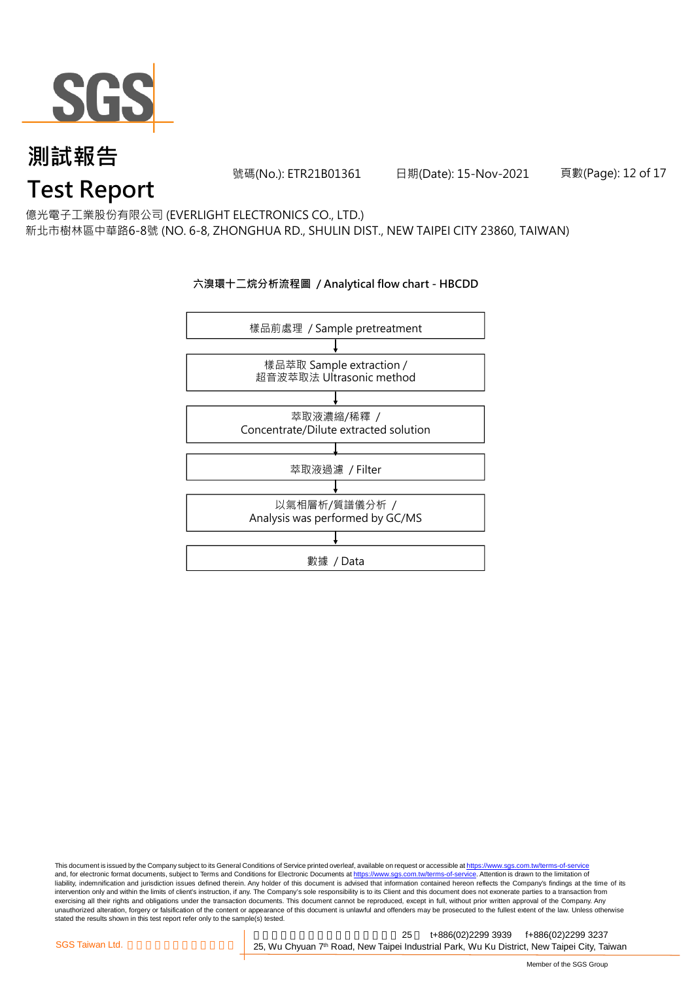

號碼(No.): ETR21B01361 日期(Date): 15-Nov-2021

頁數(Page): 12 of 17

億光電子工業股份有限公司 (EVERLIGHT ELECTRONICS CO., LTD.)

新北市樹林區中華路6-8號 (NO. 6-8, ZHONGHUA RD., SHULIN DIST., NEW TAIPEI CITY 23860, TAIWAN)

### **六溴環十二烷分析流程圖 / Analytical flow chart - HBCDD**



This document is issued by the Company subject to its General Conditions of Service printed overleaf, available on request or accessible at <u>https://www.sgs.com.tw/terms-of-service</u><br>and, for electronic format documents, su liability, indemnification and jurisdiction issues defined therein. Any holder of this document is advised that information contained hereon reflects the Company's findings at the time of its intervention only and within the limits of client's instruction, if any. The Company's sole responsibility is to its Client and this document does not exonerate parties to a transaction from exercising all their rights and obligations under the transaction documents. This document cannot be reproduced, except in full, without prior written approval of the Company. Any<br>unauthorized alteration, forgery or falsif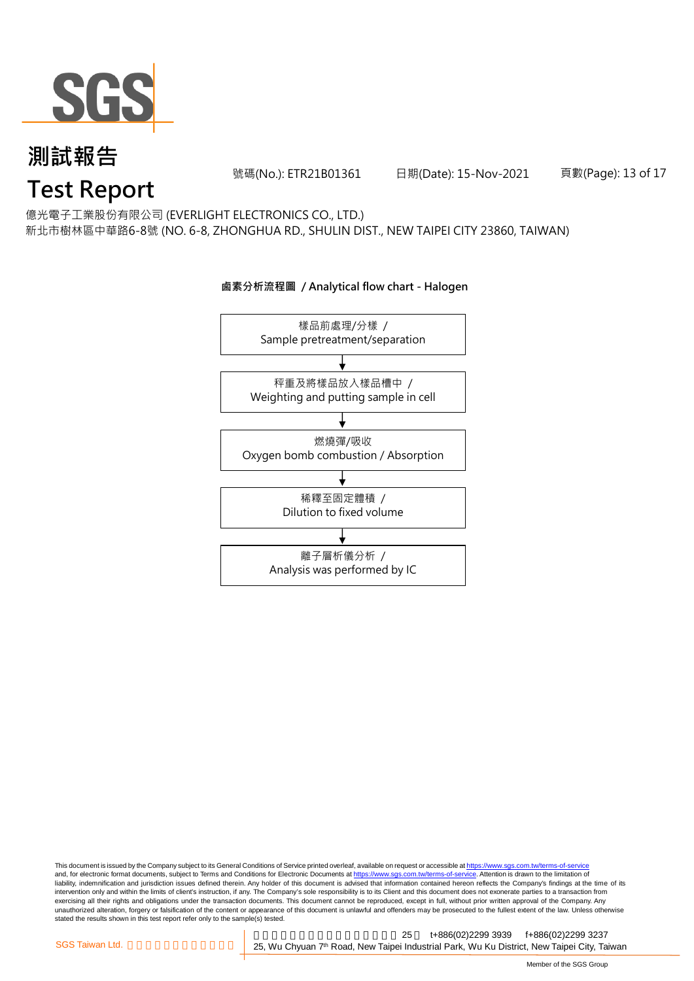

號碼(No.): ETR21B01361 日期(Date): 15-Nov-2021

頁數(Page): 13 of 17

億光電子工業股份有限公司 (EVERLIGHT ELECTRONICS CO., LTD.)

新北市樹林區中華路6-8號 (NO. 6-8, ZHONGHUA RD., SHULIN DIST., NEW TAIPEI CITY 23860, TAIWAN)

## 樣品前處理/分樣 / Sample pretreatment/separation 秤重及將樣品放入樣品槽中 / Weighting and putting sample in cell 燃燒彈/吸收 Oxygen bomb combustion / Absorption 離子層析儀分析 / Analysis was performed by IC 稀釋至固定體積 / Dilution to fixed volume

**鹵素分析流程圖 / Analytical flow chart - Halogen**

This document is issued by the Company subject to its General Conditions of Service printed overleaf, available on request or accessible at <u>https://www.sgs.com.tw/terms-of-service</u><br>and, for electronic format documents, su liability, indemnification and jurisdiction issues defined therein. Any holder of this document is advised that information contained hereon reflects the Company's findings at the time of its intervention only and within the limits of client's instruction, if any. The Company's sole responsibility is to its Client and this document does not exonerate parties to a transaction from exercising all their rights and obligations under the transaction documents. This document cannot be reproduced, except in full, without prior written approval of the Company. Any<br>unauthorized alteration, forgery or falsif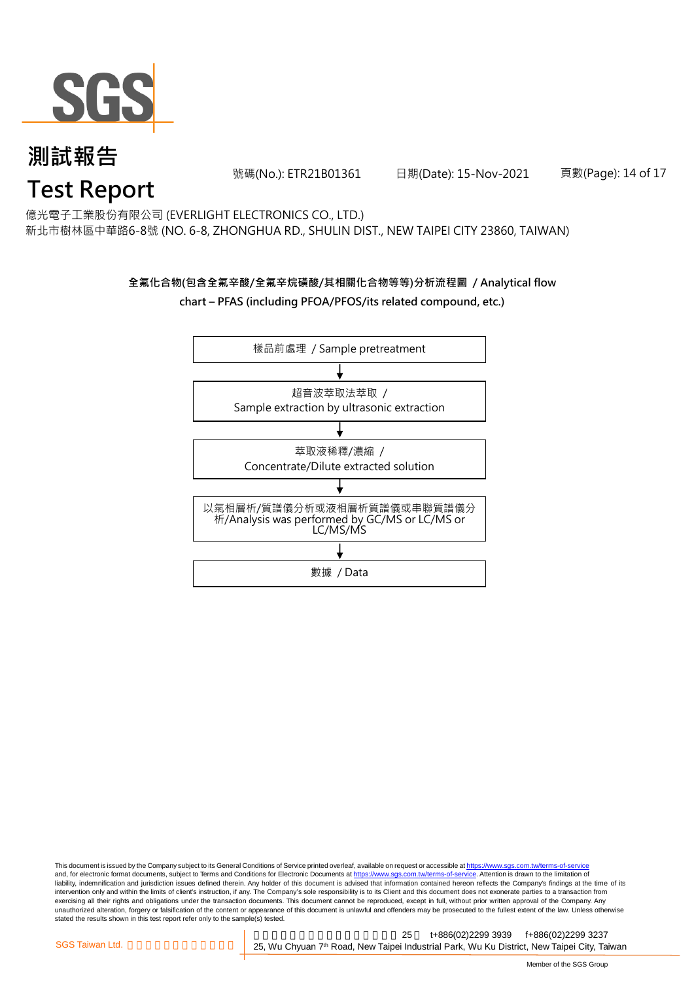

號碼(No.): ETR21B01361 日期(Date): 15-Nov-2021

頁數(Page): 14 of 17

億光電子工業股份有限公司 (EVERLIGHT ELECTRONICS CO., LTD.)

新北市樹林區中華路6-8號 (NO. 6-8, ZHONGHUA RD., SHULIN DIST., NEW TAIPEI CITY 23860, TAIWAN)

### **全氟化合物(包含全氟辛酸/全氟辛烷磺酸/其相關化合物等等)分析流程圖 / Analytical flow chart – PFAS (including PFOA/PFOS/its related compound, etc.)**



This document is issued by the Company subject to its General Conditions of Service printed overleaf, available on request or accessible at https://www.sgs.com.tw/terms-of-service and, for electronic format documents, subject to Terms and Conditions for Electronic Documents at https://www.sgs.com.tw/terms-of-service. Attention is drawn to the limitation of liability, indemnification and jurisdiction issues defined therein. Any holder of this document is advised that information contained hereon reflects the Company's findings at the time of its intervention only and within the limits of client's instruction, if any. The Company's sole responsibility is to its Client and this document does not exonerate parties to a transaction from exercising all their rights and obligations under the transaction documents. This document cannot be reproduced, except in full, without prior written approval of the Company. Any<br>unauthorized alteration, forgery or falsif stated the results shown in this test report refer only to the sample(s) tested.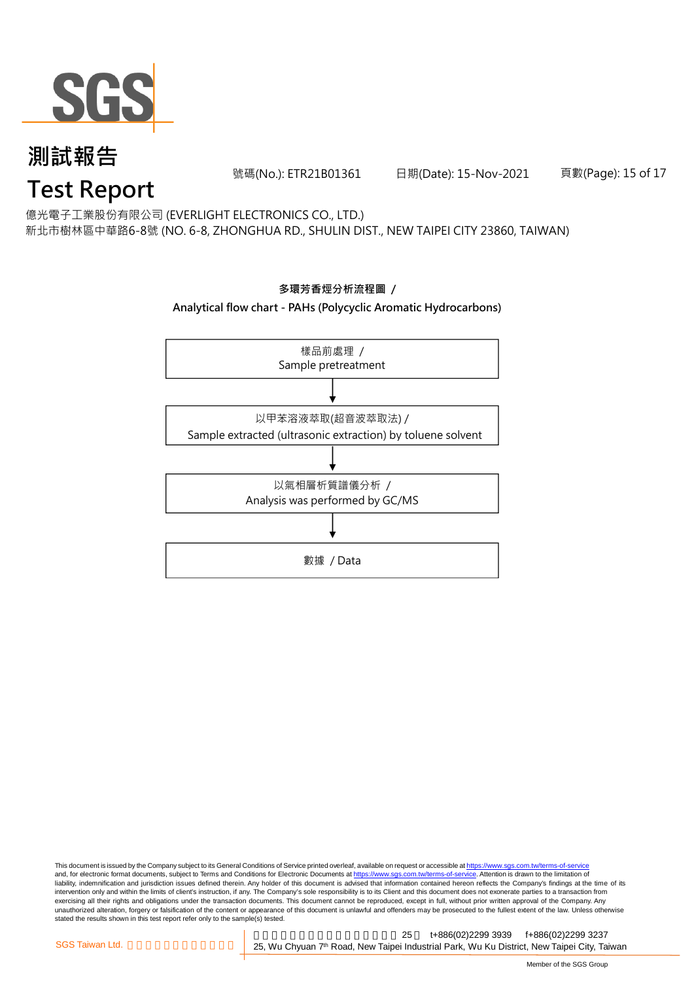

號碼(No.): ETR21B01361 日期(Date): 15-Nov-2021

頁數(Page): 15 of 17

億光電子工業股份有限公司 (EVERLIGHT ELECTRONICS CO., LTD.)

新北市樹林區中華路6-8號 (NO. 6-8, ZHONGHUA RD., SHULIN DIST., NEW TAIPEI CITY 23860, TAIWAN)



This document is issued by the Company subject to its General Conditions of Service printed overleaf, available on request or accessible at <u>https://www.sgs.com.tw/terms-of-service</u><br>and, for electronic format documents, su liability, indemnification and jurisdiction issues defined therein. Any holder of this document is advised that information contained hereon reflects the Company's findings at the time of its intervention only and within the limits of client's instruction, if any. The Company's sole responsibility is to its Client and this document does not exonerate parties to a transaction from exercising all their rights and obligations under the transaction documents. This document cannot be reproduced, except in full, without prior written approval of the Company. Any<br>unauthorized alteration, forgery or falsif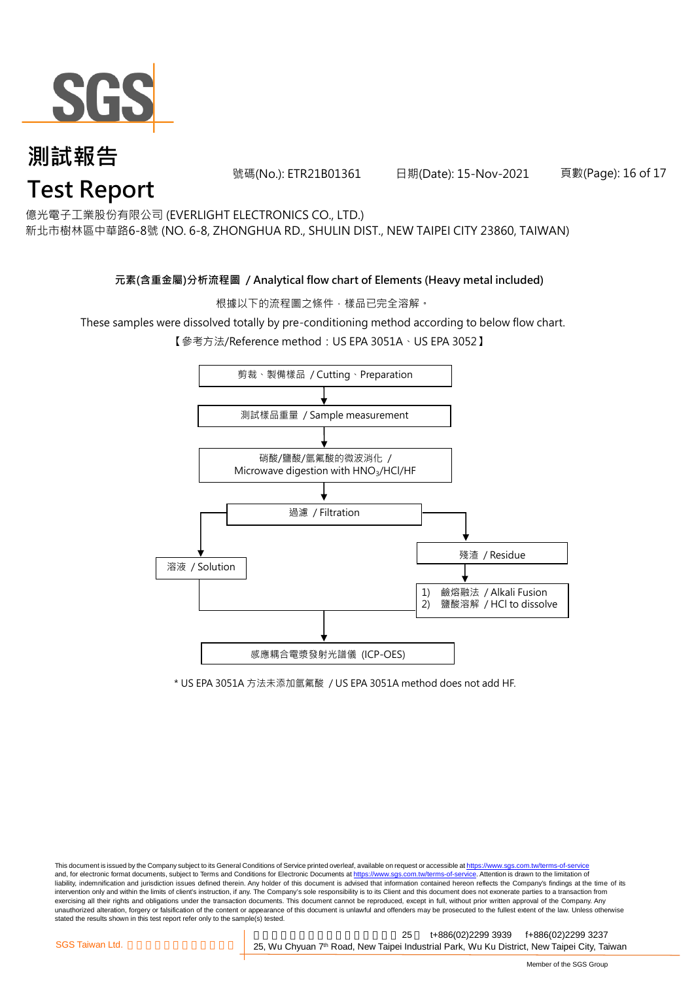

號碼(No.): ETR21B01361 日期(Date): 15-Nov-2021

頁數(Page): 16 of 17

億光電子工業股份有限公司 (EVERLIGHT ELECTRONICS CO., LTD.)

新北市樹林區中華路6-8號 (NO. 6-8, ZHONGHUA RD., SHULIN DIST., NEW TAIPEI CITY 23860, TAIWAN)

### **元素(含重金屬)分析流程圖 / Analytical flow chart of Elements (Heavy metal included)**

根據以下的流程圖之條件,樣品已完全溶解。

These samples were dissolved totally by pre-conditioning method according to below flow chart.

【參考方法/Reference method:US EPA 3051A、US EPA 3052】



\* US EPA 3051A 方法未添加氫氟酸 / US EPA 3051A method does not add HF.

This document is issued by the Company subject to its General Conditions of Service printed overleaf, available on request or accessible at https://www.sgs.com.tw/terms-of-service and, for electronic format documents, subject to Terms and Conditions for Electronic Documents at https://www.sgs.com.tw/terms-of-service. Attention is drawn to the limitation of liability, indemnification and jurisdiction issues defined therein. Any holder of this document is advised that information contained hereon reflects the Company's findings at the time of its intervention only and within the limits of client's instruction, if any. The Company's sole responsibility is to its Client and this document does not exonerate parties to a transaction from exercising all their rights and obligations under the transaction documents. This document cannot be reproduced, except in full, without prior written approval of the Company. Any<br>unauthorized alteration, forgery or falsif stated the results shown in this test report refer only to the sample(s) tested.